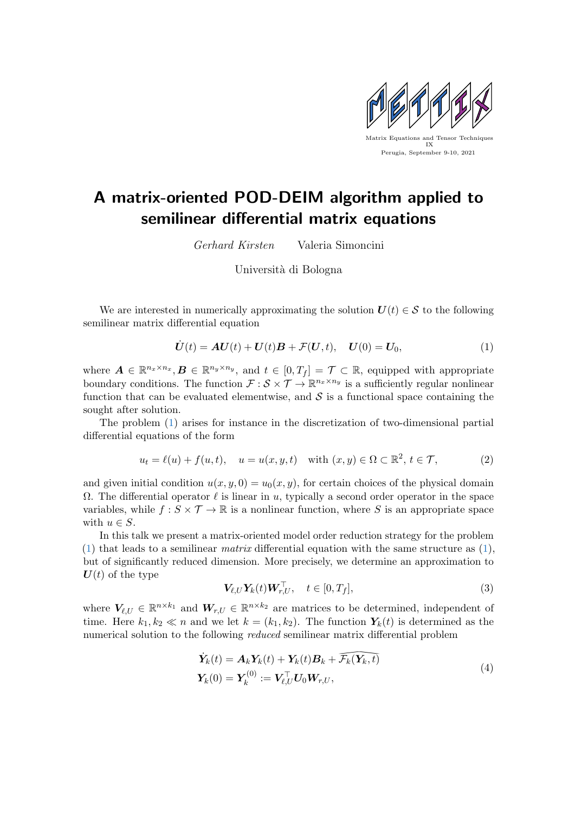

## A matrix-oriented POD-DEIM algorithm applied to semilinear differential matrix equations

Gerhard Kirsten Valeria Simoncini

Università di Bologna

We are interested in numerically approximating the solution  $U(t) \in \mathcal{S}$  to the following semilinear matrix differential equation

<span id="page-0-0"></span>
$$
\dot{\boldsymbol{U}}(t) = \boldsymbol{A}\boldsymbol{U}(t) + \boldsymbol{U}(t)\boldsymbol{B} + \mathcal{F}(\boldsymbol{U},t), \quad \boldsymbol{U}(0) = \boldsymbol{U}_0,\tag{1}
$$

where  $\mathbf{A} \in \mathbb{R}^{n_x \times n_x}, \mathbf{B} \in \mathbb{R}^{n_y \times n_y}$ , and  $t \in [0, T_f] = \mathcal{T} \subset \mathbb{R}$ , equipped with appropriate boundary conditions. The function  $\mathcal{F}: \mathcal{S} \times \mathcal{T} \to \mathbb{R}^{n_x \times n_y}$  is a sufficiently regular nonlinear function that can be evaluated elementwise, and  $S$  is a functional space containing the sought after solution.

The problem [\(1\)](#page-0-0) arises for instance in the discretization of two-dimensional partial differential equations of the form

$$
u_t = \ell(u) + f(u, t), \quad u = u(x, y, t) \quad \text{with } (x, y) \in \Omega \subset \mathbb{R}^2, t \in \mathcal{T}, \tag{2}
$$

and given initial condition  $u(x, y, 0) = u_0(x, y)$ , for certain choices of the physical domain  $\Omega$ . The differential operator  $\ell$  is linear in u, typically a second order operator in the space variables, while  $f : S \times T \to \mathbb{R}$  is a nonlinear function, where S is an appropriate space with  $u \in S$ .

In this talk we present a matrix-oriented model order reduction strategy for the problem [\(1\)](#page-0-0) that leads to a semilinear *matrix* differential equation with the same structure as  $(1)$ , but of significantly reduced dimension. More precisely, we determine an approximation to  $U(t)$  of the type

$$
\mathbf{V}_{\ell,U}\mathbf{Y}_k(t)\mathbf{W}_{r,U}^\top, \quad t \in [0,T_f], \tag{3}
$$

<span id="page-0-1"></span>where  $V_{\ell,U} \in \mathbb{R}^{n \times k_1}$  and  $W_{r,U} \in \mathbb{R}^{n \times k_2}$  are matrices to be determined, independent of time. Here  $k_1, k_2 \ll n$  and we let  $k = (k_1, k_2)$ . The function  $Y_k(t)$  is determined as the numerical solution to the following reduced semilinear matrix differential problem

$$
\dot{\mathbf{Y}}_k(t) = \mathbf{A}_k \mathbf{Y}_k(t) + \mathbf{Y}_k(t) \mathbf{B}_k + \widehat{\mathcal{F}_k(\mathbf{Y}_k, t)} \n\mathbf{Y}_k(0) = \mathbf{Y}_k^{(0)} := \mathbf{V}_{\ell,U}^\top \mathbf{U}_0 \mathbf{W}_{r,U},
$$
\n(4)